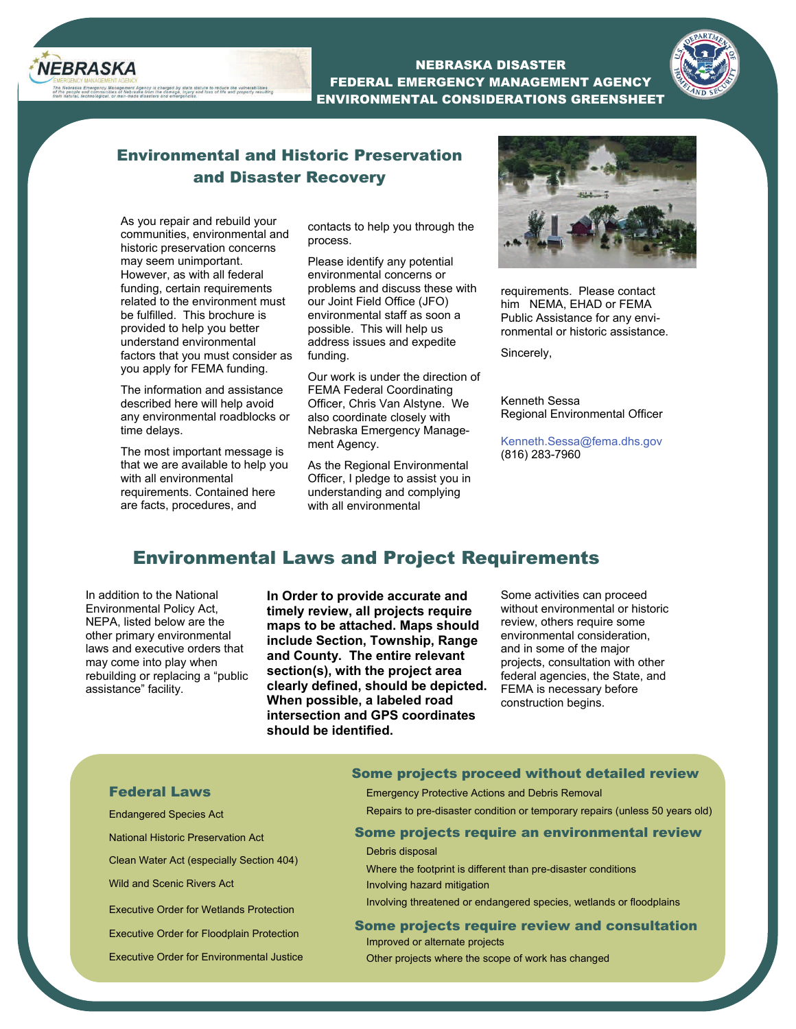

NEBRASKA DISASTER FEDERAL EMERGENCY MANAGEMENT AGENCY ENVIRONMENTAL CONSIDERATIONS GREENSHEET



# Environmental and Historic Preservation and Disaster Recovery

As you repair and rebuild your communities, environmental and historic preservation concerns may seem unimportant. However, as with all federal funding, certain requirements related to the environment must be fulfilled. This brochure is provided to help you better understand environmental factors that you must consider as you apply for FEMA funding.

statute to reduce the vulnerabilities

The information and assistance described here will help avoid any environmental roadblocks or time delays.

The most important message is that we are available to help you with all environmental requirements. Contained here are facts, procedures, and

contacts to help you through the process.

Please identify any potential environmental concerns or problems and discuss these with our Joint Field Office (JFO) environmental staff as soon a possible. This will help us address issues and expedite funding.

Our work is under the direction of FEMA Federal Coordinating Officer, Chris Van Alstyne. We also coordinate closely with Nebraska Emergency Management Agency.

As the Regional Environmental Officer, I pledge to assist you in understanding and complying with all environmental



requirements. Please contact him NEMA, EHAD or FEMA Public Assistance for any environmental or historic assistance.

Sincerely,

Kenneth Sessa Regional Environmental Officer

Kenneth.Sessa@fema.dhs.gov (816) 283-7960

## Environmental Laws and Project Requirements

In addition to the National Environmental Policy Act, NEPA, listed below are the other primary environmental laws and executive orders that may come into play when rebuilding or replacing a "public assistance" facility.

**In Order to provide accurate and timely review, all projects require maps to be attached. Maps should include Section, Township, Range and County. The entire relevant section(s), with the project area clearly defined, should be depicted. When possible, a labeled road intersection and GPS coordinates should be identified.** 

Some activities can proceed without environmental or historic review, others require some environmental consideration, and in some of the major projects, consultation with other federal agencies, the State, and FEMA is necessary before construction begins.

#### Federal Laws

Endangered Species Act

National Historic Preservation Act

Clean Water Act (especially Section 404)

Wild and Scenic Rivers Act

Executive Order for Wetlands Protection

Executive Order for Floodplain Protection

Executive Order for Environmental Justice

#### Some projects proceed without detailed review

Emergency Protective Actions and Debris Removal

Repairs to pre-disaster condition or temporary repairs (unless 50 years old)

#### Some projects require an environmental review

Debris disposal

Where the footprint is different than pre-disaster conditions Involving hazard mitigation

Involving threatened or endangered species, wetlands or floodplains

#### Some projects require review and consultation

Improved or alternate projects Other projects where the scope of work has changed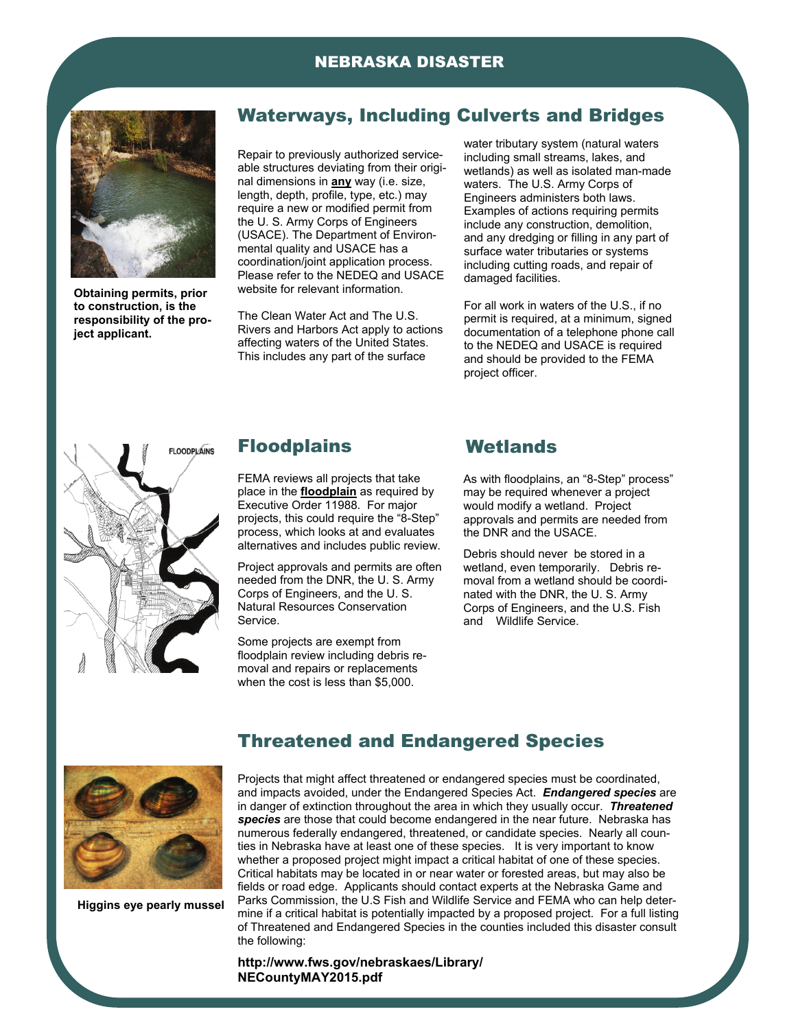### NEBRASKA DISASTER



**Obtaining permits, prior to construction, is the responsibility of the project applicant.** 

### Waterways, Including Culverts and Bridges

Repair to previously authorized serviceable structures deviating from their original dimensions in **any** way (i.e. size, length, depth, profile, type, etc.) may require a new or modified permit from the U. S. Army Corps of Engineers (USACE). The Department of Environmental quality and USACE has a coordination/joint application process. Please refer to the NEDEQ and USACE website for relevant information.

The Clean Water Act and The U.S. Rivers and Harbors Act apply to actions affecting waters of the United States. This includes any part of the surface

water tributary system (natural waters including small streams, lakes, and wetlands) as well as isolated man-made waters. The U.S. Army Corps of Engineers administers both laws. Examples of actions requiring permits include any construction, demolition, and any dredging or filling in any part of surface water tributaries or systems including cutting roads, and repair of damaged facilities.

For all work in waters of the U.S., if no permit is required, at a minimum, signed documentation of a telephone phone call to the NEDEQ and USACE is required and should be provided to the FEMA project officer.



#### **Floodplains**

FEMA reviews all projects that take place in the **floodplain** as required by Executive Order 11988. For major projects, this could require the "8-Step" process, which looks at and evaluates alternatives and includes public review.

Project approvals and permits are often needed from the DNR, the U. S. Army Corps of Engineers, and the U. S. Natural Resources Conservation Service.

Some projects are exempt from floodplain review including debris removal and repairs or replacements when the cost is less than \$5,000.

### **Wetlands**

As with floodplains, an "8-Step" process" may be required whenever a project would modify a wetland. Project approvals and permits are needed from the DNR and the USACE.

Debris should never be stored in a wetland, even temporarily. Debris removal from a wetland should be coordinated with the DNR, the U. S. Army Corps of Engineers, and the U.S. Fish and Wildlife Service.



**Higgins eye pearly mussel** 

Projects that might affect threatened or endangered species must be coordinated, and impacts avoided, under the Endangered Species Act. *Endangered species* are in danger of extinction throughout the area in which they usually occur. *Threatened species* are those that could become endangered in the near future. Nebraska has numerous federally endangered, threatened, or candidate species. Nearly all counties in Nebraska have at least one of these species. It is very important to know whether a proposed project might impact a critical habitat of one of these species. Critical habitats may be located in or near water or forested areas, but may also be fields or road edge. Applicants should contact experts at the Nebraska Game and Parks Commission, the U.S Fish and Wildlife Service and FEMA who can help determine if a critical habitat is potentially impacted by a proposed project. For a full listing of Threatened and Endangered Species in the counties included this disaster consult the following:

Threatened and Endangered Species

**http://www.fws.gov/nebraskaes/Library/ NECountyMAY2015.pdf**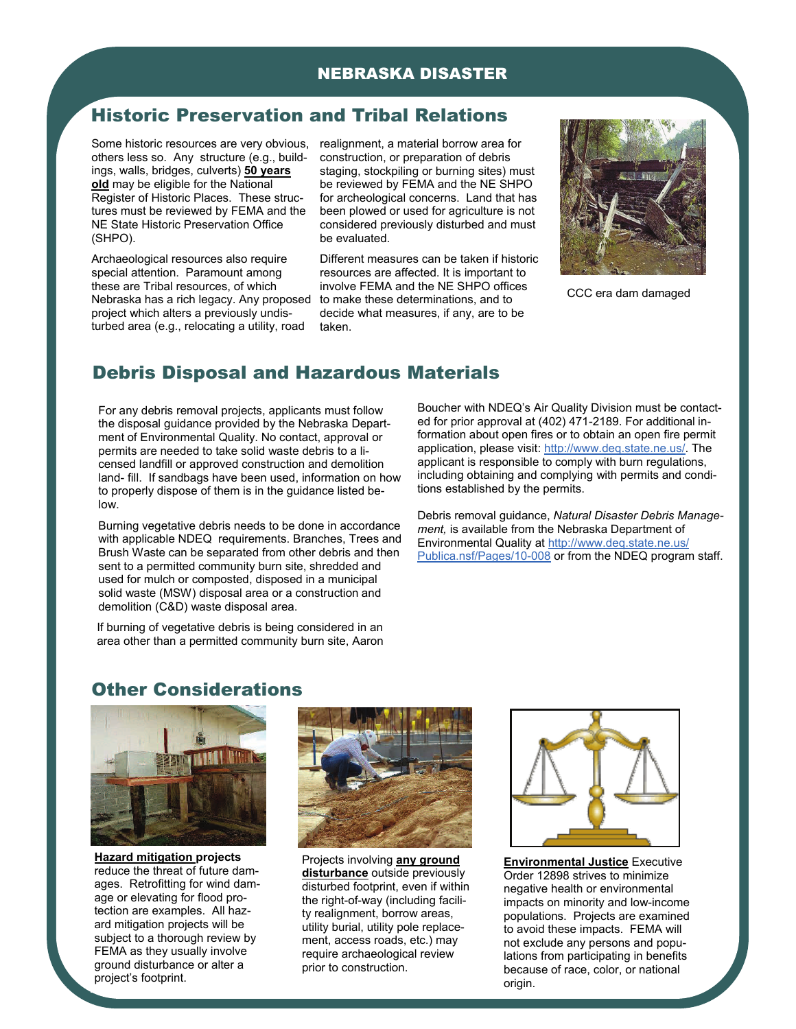#### NEBRASKA DISASTER

## Historic Preservation and Tribal Relations

others less so. Any structure (e.g., buildings, walls, bridges, culverts) **50 years old** may be eligible for the National Register of Historic Places. These structures must be reviewed by FEMA and the NE State Historic Preservation Office (SHPO).

Archaeological resources also require special attention. Paramount among these are Tribal resources, of which Nebraska has a rich legacy. Any proposed project which alters a previously undisturbed area (e.g., relocating a utility, road

Some historic resources are very obvious, realignment, a material borrow area for construction, or preparation of debris staging, stockpiling or burning sites) must be reviewed by FEMA and the NE SHPO for archeological concerns. Land that has been plowed or used for agriculture is not considered previously disturbed and must be evaluated.

> Different measures can be taken if historic resources are affected. It is important to involve FEMA and the NE SHPO offices to make these determinations, and to decide what measures, if any, are to be taken.



CCC era dam damaged

# Debris Disposal and Hazardous Materials

For any debris removal projects, applicants must follow the disposal guidance provided by the Nebraska Department of Environmental Quality. No contact, approval or permits are needed to take solid waste debris to a licensed landfill or approved construction and demolition land- fill. If sandbags have been used, information on how to properly dispose of them is in the guidance listed below.

Burning vegetative debris needs to be done in accordance with applicable NDEQ requirements. Branches, Trees and Brush Waste can be separated from other debris and then sent to a permitted community burn site, shredded and used for mulch or composted, disposed in a municipal solid waste (MSW) disposal area or a construction and demolition (C&D) waste disposal area.

If burning of vegetative debris is being considered in an area other than a permitted community burn site, Aaron

Boucher with NDEQ's Air Quality Division must be contacted for prior approval at (402) 471-2189. For additional information about open fires or to obtain an open fire permit application, please visit: http://www.deq.state.ne.us/. The applicant is responsible to comply with burn regulations, including obtaining and complying with permits and conditions established by the permits.

Debris removal guidance, *Natural Disaster Debris Management,* is available from the Nebraska Department of Environmental Quality at http://www.deq.state.ne.us/ Publica.nsf/Pages/10-008 or from the NDEQ program staff.

## Other Considerations



**Hazard mitigation projects** reduce the threat of future damages. Retrofitting for wind damage or elevating for flood protection are examples. All hazard mitigation projects will be subject to a thorough review by FEMA as they usually involve ground disturbance or alter a project's footprint.



Projects involving **any ground disturbance** outside previously disturbed footprint, even if within the right-of-way (including facility realignment, borrow areas, utility burial, utility pole replacement, access roads, etc.) may require archaeological review prior to construction.



**Environmental Justice** Executive Order 12898 strives to minimize negative health or environmental impacts on minority and low-income populations. Projects are examined to avoid these impacts. FEMA will not exclude any persons and populations from participating in benefits because of race, color, or national origin.